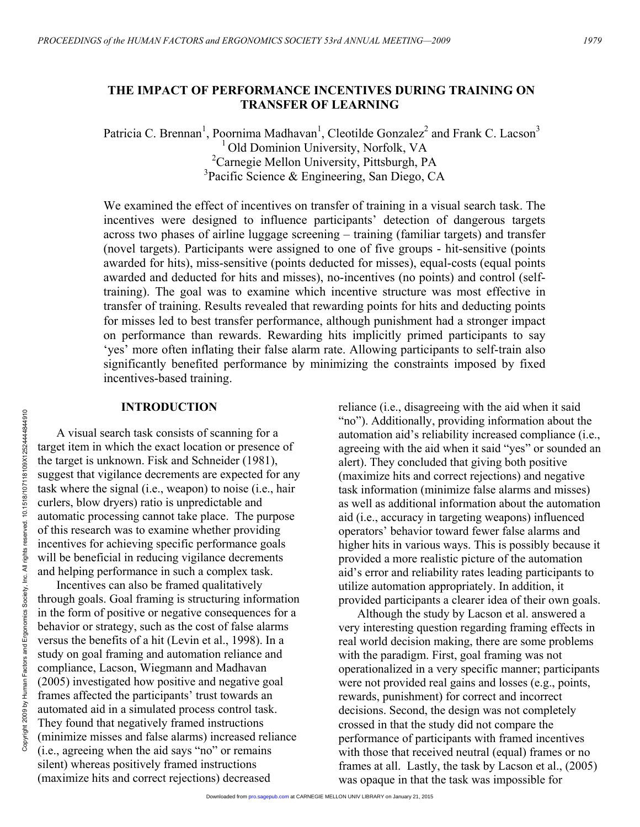# **THE IMPACT OF PERFORMANCE INCENTIVES DURING TRAINING ON TRANSFER OF LEARNING**

Patricia C. Brennan<sup>1</sup>, Poornima Madhavan<sup>1</sup>, Cleotilde Gonzalez<sup>2</sup> and Frank C. Lacson<sup>3</sup> <sup>1</sup> Old Dominion University, Norfolk, VA <sup>2</sup> Carnegie Mellon University, Pittsburgh, PA 3 Pacific Science & Engineering, San Diego, CA

We examined the effect of incentives on transfer of training in a visual search task. The incentives were designed to influence participants' detection of dangerous targets across two phases of airline luggage screening – training (familiar targets) and transfer (novel targets). Participants were assigned to one of five groups - hit-sensitive (points awarded for hits), miss-sensitive (points deducted for misses), equal-costs (equal points awarded and deducted for hits and misses), no-incentives (no points) and control (selftraining). The goal was to examine which incentive structure was most effective in transfer of training. Results revealed that rewarding points for hits and deducting points for misses led to best transfer performance, although punishment had a stronger impact on performance than rewards. Rewarding hits implicitly primed participants to say 'yes' more often inflating their false alarm rate. Allowing participants to self-train also significantly benefited performance by minimizing the constraints imposed by fixed incentives-based training.

## **INTRODUCTION**

A visual search task consists of scanning for a target item in which the exact location or presence of the target is unknown. Fisk and Schneider (1981), suggest that vigilance decrements are expected for any task where the signal (i.e., weapon) to noise (i.e., hair curlers, blow dryers) ratio is unpredictable and automatic processing cannot take place. The purpose of this research was to examine whether providing incentives for achieving specific performance goals will be beneficial in reducing vigilance decrements and helping performance in such a complex task.

Incentives can also be framed qualitatively through goals. Goal framing is structuring information in the form of positive or negative consequences for a behavior or strategy, such as the cost of false alarms versus the benefits of a hit (Levin et al., 1998). In a study on goal framing and automation reliance and compliance, Lacson, Wiegmann and Madhavan (2005) investigated how positive and negative goal frames affected the participants' trust towards an automated aid in a simulated process control task. They found that negatively framed instructions (minimize misses and false alarms) increased reliance (i.e., agreeing when the aid says "no" or remains silent) whereas positively framed instructions (maximize hits and correct rejections) decreased

reliance (i.e., disagreeing with the aid when it said "no"). Additionally, providing information about the automation aid's reliability increased compliance (i.e., agreeing with the aid when it said "yes" or sounded an alert). They concluded that giving both positive (maximize hits and correct rejections) and negative task information (minimize false alarms and misses) as well as additional information about the automation aid (i.e., accuracy in targeting weapons) influenced operators' behavior toward fewer false alarms and higher hits in various ways. This is possibly because it provided a more realistic picture of the automation aid's error and reliability rates leading participants to utilize automation appropriately. In addition, it provided participants a clearer idea of their own goals.

Although the study by Lacson et al. answered a very interesting question regarding framing effects in real world decision making, there are some problems with the paradigm. First, goal framing was not operationalized in a very specific manner; participants were not provided real gains and losses (e.g., points, rewards, punishment) for correct and incorrect decisions. Second, the design was not completely crossed in that the study did not compare the performance of participants with framed incentives with those that received neutral (equal) frames or no frames at all. Lastly, the task by Lacson et al., (2005) was opaque in that the task was impossible for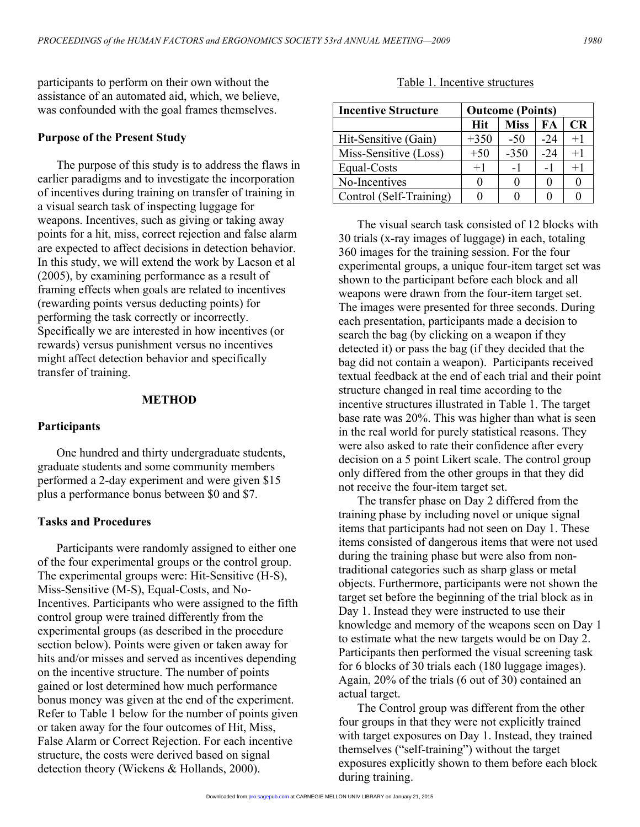participants to perform on their own without the assistance of an automated aid, which, we believe, was confounded with the goal frames themselves.

#### **Purpose of the Present Study**

The purpose of this study is to address the flaws in earlier paradigms and to investigate the incorporation of incentives during training on transfer of training in a visual search task of inspecting luggage for weapons. Incentives, such as giving or taking away points for a hit, miss, correct rejection and false alarm are expected to affect decisions in detection behavior. In this study, we will extend the work by Lacson et al (2005), by examining performance as a result of framing effects when goals are related to incentives (rewarding points versus deducting points) for performing the task correctly or incorrectly. Specifically we are interested in how incentives (or rewards) versus punishment versus no incentives might affect detection behavior and specifically transfer of training.

#### **METHOD**

#### **Participants**

One hundred and thirty undergraduate students, graduate students and some community members performed a 2-day experiment and were given \$15 plus a performance bonus between \$0 and \$7.

#### **Tasks and Procedures**

Participants were randomly assigned to either one of the four experimental groups or the control group. The experimental groups were: Hit-Sensitive (H-S), Miss-Sensitive (M-S), Equal-Costs, and No-Incentives. Participants who were assigned to the fifth control group were trained differently from the experimental groups (as described in the procedure section below). Points were given or taken away for hits and/or misses and served as incentives depending on the incentive structure. The number of points gained or lost determined how much performance bonus money was given at the end of the experiment. Refer to Table 1 below for the number of points given or taken away for the four outcomes of Hit, Miss, False Alarm or Correct Rejection. For each incentive structure, the costs were derived based on signal detection theory (Wickens & Hollands, 2000).

Table 1. Incentive structures

| <b>Incentive Structure</b> | <b>Outcome (Points)</b> |             |       |              |
|----------------------------|-------------------------|-------------|-------|--------------|
|                            | <b>Hit</b>              | <b>Miss</b> | FA.   | <b>CR</b>    |
| Hit-Sensitive (Gain)       | $+350$                  | $-50$       | $-24$ | $+1$         |
| Miss-Sensitive (Loss)      | $+50$                   | $-350$      | $-24$ | $+1$         |
| Equal-Costs                | $+1$                    | -1          |       | $+1$         |
| No-Incentives              |                         |             |       | $\mathbf{I}$ |
| Control (Self-Training)    |                         |             |       |              |

The visual search task consisted of 12 blocks with 30 trials (x-ray images of luggage) in each, totaling 360 images for the training session. For the four experimental groups, a unique four-item target set was shown to the participant before each block and all weapons were drawn from the four-item target set. The images were presented for three seconds. During each presentation, participants made a decision to search the bag (by clicking on a weapon if they detected it) or pass the bag (if they decided that the bag did not contain a weapon). Participants received textual feedback at the end of each trial and their point structure changed in real time according to the incentive structures illustrated in Table 1. The target base rate was 20%. This was higher than what is seen in the real world for purely statistical reasons. They were also asked to rate their confidence after every decision on a 5 point Likert scale. The control group only differed from the other groups in that they did not receive the four-item target set.

The transfer phase on Day 2 differed from the training phase by including novel or unique signal items that participants had not seen on Day 1. These items consisted of dangerous items that were not used during the training phase but were also from nontraditional categories such as sharp glass or metal objects. Furthermore, participants were not shown the target set before the beginning of the trial block as in Day 1. Instead they were instructed to use their knowledge and memory of the weapons seen on Day 1 to estimate what the new targets would be on Day 2. Participants then performed the visual screening task for 6 blocks of 30 trials each (180 luggage images). Again, 20% of the trials (6 out of 30) contained an actual target.

The Control group was different from the other four groups in that they were not explicitly trained with target exposures on Day 1. Instead, they trained themselves ("self-training") without the target exposures explicitly shown to them before each block during training.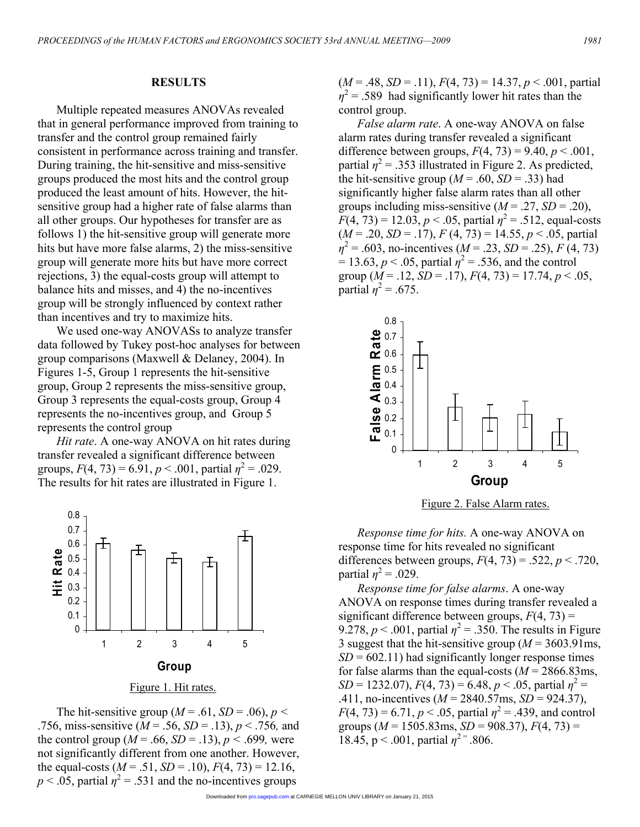## **RESULTS**

Multiple repeated measures ANOVAs revealed that in general performance improved from training to transfer and the control group remained fairly consistent in performance across training and transfer. During training, the hit-sensitive and miss-sensitive groups produced the most hits and the control group produced the least amount of hits. However, the hitsensitive group had a higher rate of false alarms than all other groups. Our hypotheses for transfer are as follows 1) the hit-sensitive group will generate more hits but have more false alarms, 2) the miss-sensitive group will generate more hits but have more correct rejections, 3) the equal-costs group will attempt to balance hits and misses, and 4) the no-incentives group will be strongly influenced by context rather than incentives and try to maximize hits.

We used one-way ANOVASs to analyze transfer data followed by Tukey post-hoc analyses for between group comparisons (Maxwell & Delaney, 2004). In Figures 1-5, Group 1 represents the hit-sensitive group, Group 2 represents the miss-sensitive group, Group 3 represents the equal-costs group, Group 4 represents the no-incentives group, and Group 5 represents the control group

*Hit rate*. A one-way ANOVA on hit rates during transfer revealed a significant difference between groups,  $F(4, 73) = 6.91$ ,  $p < .001$ , partial  $\eta^2 = .029$ . The results for hit rates are illustrated in Figure 1.



The hit-sensitive group ( $M = .61$ ,  $SD = .06$ ),  $p <$ 

.756, miss-sensitive (*M* = .56, *SD* = .13), *p* < .756*,* and the control group  $(M = .66, SD = .13)$ ,  $p < .699$ , were not significantly different from one another. However, the equal-costs  $(M = .51, SD = .10), F(4, 73) = 12.16,$  $p < .05$ , partial  $\eta^2 = .531$  and the no-incentives groups

 $(M = .48, SD = .11), F(4, 73) = 14.37, p < .001$ , partial  $\eta^2$  = .589 had significantly lower hit rates than the control group.

*False alarm rate*. A one-way ANOVA on false alarm rates during transfer revealed a significant difference between groups,  $F(4, 73) = 9.40$ ,  $p < .001$ , partial  $\eta^2$  = .353 illustrated in Figure 2. As predicted, the hit-sensitive group ( $M = .60$ ,  $SD = .33$ ) had significantly higher false alarm rates than all other groups including miss-sensitive  $(M = .27, SD = .20)$ ,  $F(4, 73) = 12.03, p < .05$ , partial  $\eta^2 = .512$ , equal-costs  $(M = .20, SD = .17), F(4, 73) = 14.55, p < .05$ , partial  $\eta^2$  = .603, no-incentives (*M* = .23, *SD* = .25), *F* (4, 73)  $= 13.63, p < .05$ , partial  $\eta^2 = .536$ , and the control group  $(M = .12, SD = .17)$ ,  $F(4, 73) = 17.74, p < .05$ , partial  $\eta^2 = .675$ .



Figure 2. False Alarm rates.

*Response time for hits.* A one-way ANOVA on response time for hits revealed no significant differences between groups,  $F(4, 73) = .522$ ,  $p < .720$ , partial  $\eta^2 = .029$ .

*Response time for false alarms*. A one-way ANOVA on response times during transfer revealed a significant difference between groups,  $F(4, 73) =$ 9.278,  $p < .001$ , partial  $\eta^2 = .350$ . The results in Figure 3 suggest that the hit-sensitive group (*M* = 3603.91ms,  $SD = 602.11$ ) had significantly longer response times for false alarms than the equal-costs  $(M = 2866.83 \text{ms})$ , *SD* = 1232.07),  $F(4, 73) = 6.48$ ,  $p < .05$ , partial  $\eta^2 =$ .411, no-incentives (*M* = 2840.57ms, *SD* = 924.37),  $F(4, 73) = 6.71, p < .05$ , partial  $\eta^2 = .439$ , and control groups  $(M = 1505.83 \text{ms}, SD = 908.37), F(4, 73) =$ 18.45,  $p < .001$ , partial  $\eta^{2} = .806$ .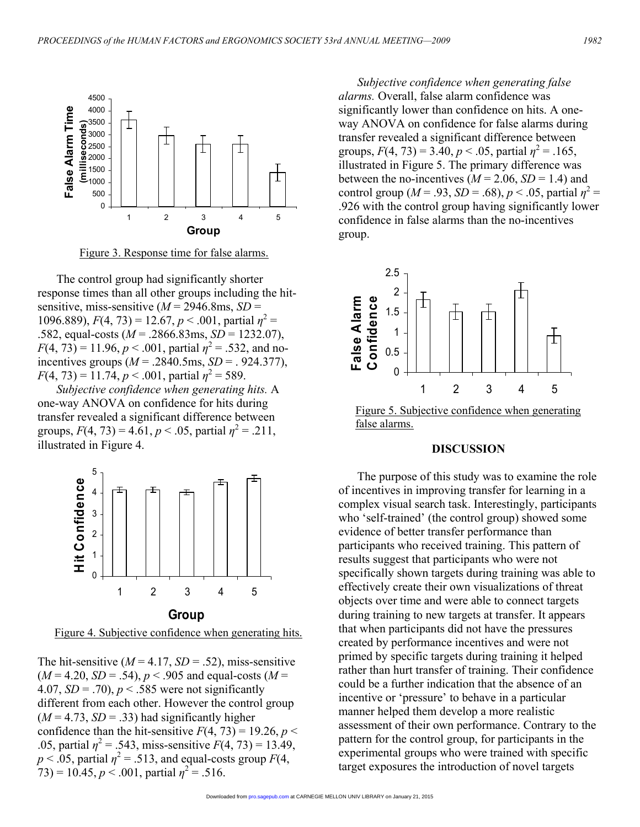

Figure 3. Response time for false alarms.

The control group had significantly shorter response times than all other groups including the hitsensitive, miss-sensitive  $(M = 2946.8 \text{ms}, SD =$ 1096.889),  $F(4, 73) = 12.67$ ,  $p < .001$ , partial  $\eta^2 =$ .582, equal-costs (*M* = .2866.83ms, *SD* = 1232.07),  $F(4, 73) = 11.96, p < .001$ , partial  $\eta^2 = .532$ , and noincentives groups (*M* = .2840.5ms, *SD* = . 924.377),  $F(4, 73) = 11.74, p < .001$ , partial  $\eta^2 = 589$ .

*Subjective confidence when generating hits.* A one-way ANOVA on confidence for hits during transfer revealed a significant difference between groups,  $F(4, 73) = 4.61$ ,  $p < .05$ , partial  $\eta^2 = .211$ , illustrated in Figure 4.



Figure 4. Subjective confidence when generating hits.

The hit-sensitive  $(M = 4.17, SD = .52)$ , miss-sensitive  $(M = 4.20, SD = .54), p < .905$  and equal-costs  $(M =$ 4.07,  $SD = .70$ ,  $p < .585$  were not significantly different from each other. However the control group  $(M = 4.73, SD = .33)$  had significantly higher confidence than the hit-sensitive  $F(4, 73) = 19.26$ ,  $p \le$ .05, partial  $\eta^2 = .543$ , miss-sensitive  $F(4, 73) = 13.49$ ,  $p < .05$ , partial  $\eta^2 = .513$ , and equal-costs group  $F(4)$ ,  $(73) = 10.45, p < .001$ , partial  $\eta^2 = .516$ .

*Subjective confidence when generating false alarms.* Overall, false alarm confidence was significantly lower than confidence on hits. A oneway ANOVA on confidence for false alarms during transfer revealed a significant difference between groups,  $F(4, 73) = 3.40, p < .05$ , partial  $\eta^2 = .165$ , illustrated in Figure 5. The primary difference was between the no-incentives ( $M = 2.06$ ,  $SD = 1.4$ ) and control group ( $M = .93$ ,  $SD = .68$ ),  $p < .05$ , partial  $\eta^2 =$ .926 with the control group having significantly lower confidence in false alarms than the no-incentives group.



Figure 5. Subjective confidence when generating false alarms.

## **DISCUSSION**

 The purpose of this study was to examine the role of incentives in improving transfer for learning in a complex visual search task. Interestingly, participants who 'self-trained' (the control group) showed some evidence of better transfer performance than participants who received training. This pattern of results suggest that participants who were not specifically shown targets during training was able to effectively create their own visualizations of threat objects over time and were able to connect targets during training to new targets at transfer. It appears that when participants did not have the pressures created by performance incentives and were not primed by specific targets during training it helped rather than hurt transfer of training. Their confidence could be a further indication that the absence of an incentive or 'pressure' to behave in a particular manner helped them develop a more realistic assessment of their own performance. Contrary to the pattern for the control group, for participants in the experimental groups who were trained with specific target exposures the introduction of novel targets